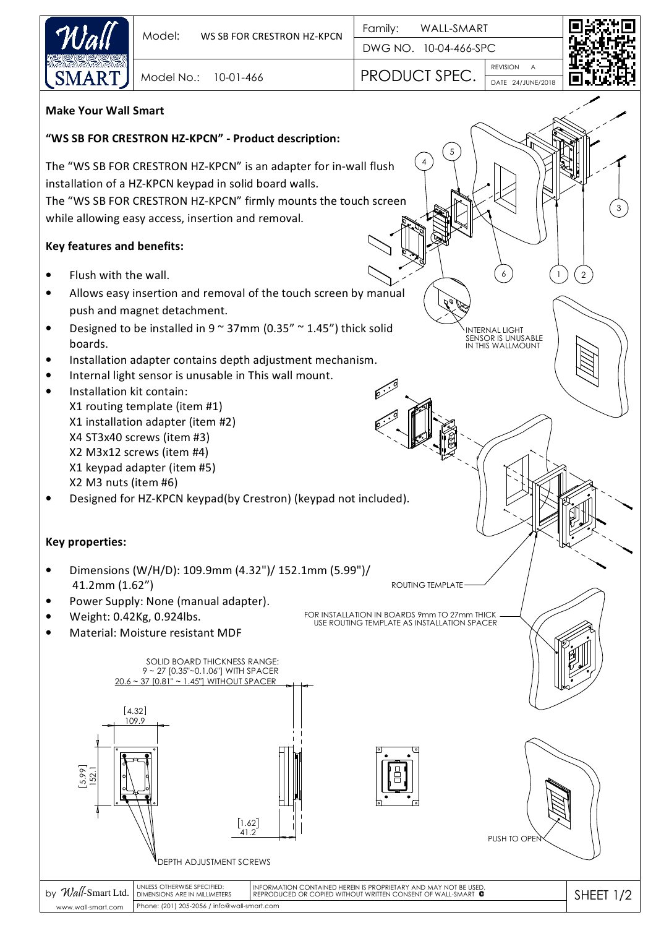